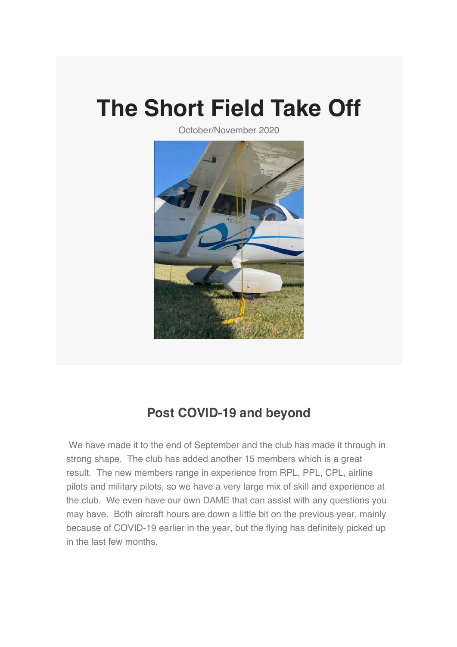# **The Short Field Take Off**

October/November 2020



# **Post COVID-19 and beyond**

We have made it to the end of September and the club has made it through in strong shape. The club has added another 15 members which is a great result. The new members range in experience from RPL, PPL, CPL, airline pilots and military pilots, so we have a very large mix of skill and experience at the club. We even have our own DAME that can assist with any questions you may have. Both aircraft hours are down a little bit on the previous year, mainly because of COVID-19 earlier in the year, but the flying has definitely picked up in the last few months.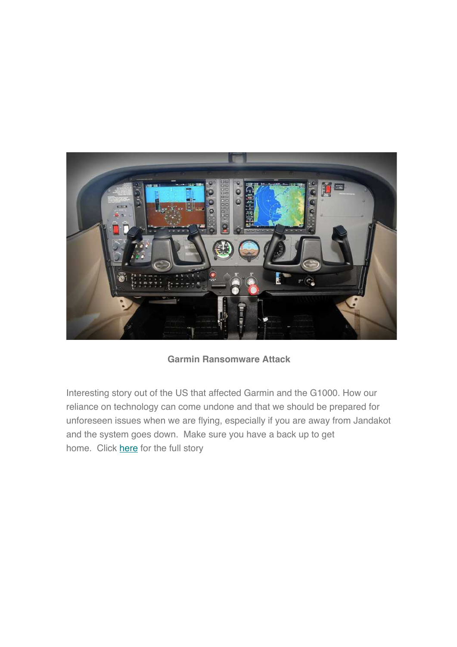

**Garmin Ransomware Attack**

Interesting story out of the US that affected Garmin and the G1000. How our reliance on technology can come undone and that we should be prepared for unforeseen issues when we are flying, especially if you are away from Jandakot and the system goes down. Make sure you have a back up to get home. Click here for the full story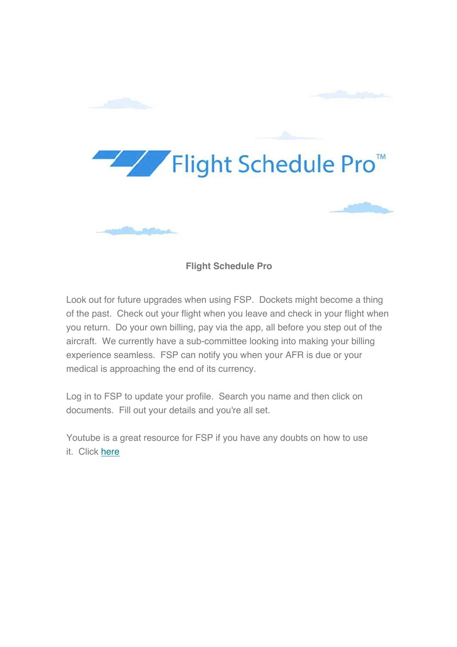

**Flight Schedule Pro**

Look out for future upgrades when using FSP. Dockets might become a thing of the past. Check out your flight when you leave and check in your flight when you return. Do your own billing, pay via the app, all before you step out of the aircraft. We currently have a sub-committee looking into making your billing experience seamless. FSP can notify you when your AFR is due or your medical is approaching the end of its currency.

Log in to FSP to update your profile. Search you name and then click on documents. Fill out your details and you're all set.

Youtube is a great resource for FSP if you have any doubts on how to use it. Click here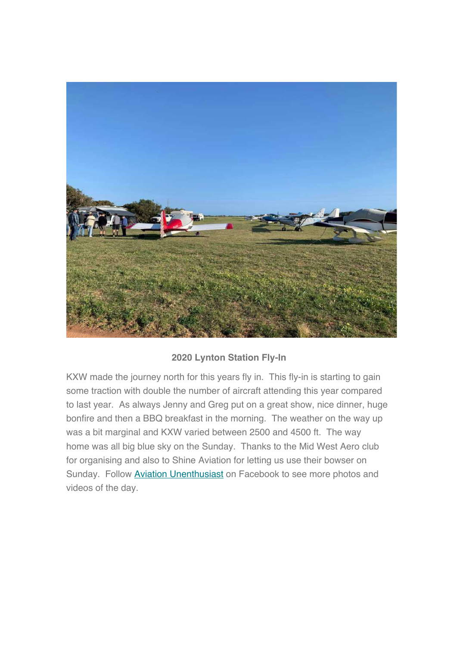

# **2020 Lynton Station Fly-In**

KXW made the journey north for this years fly in. This fly-in is starting to gain some traction with double the number of aircraft attending this year compared to last year. As always Jenny and Greg put on a great show, nice dinner, huge bonfire and then a BBQ breakfast in the morning. The weather on the way up was a bit marginal and KXW varied between 2500 and 4500 ft. The way home was all big blue sky on the Sunday. Thanks to the Mid West Aero club for organising and also to Shine Aviation for letting us use their bowser on Sunday. Follow Aviation Unenthusiast on Facebook to see more photos and videos of the day.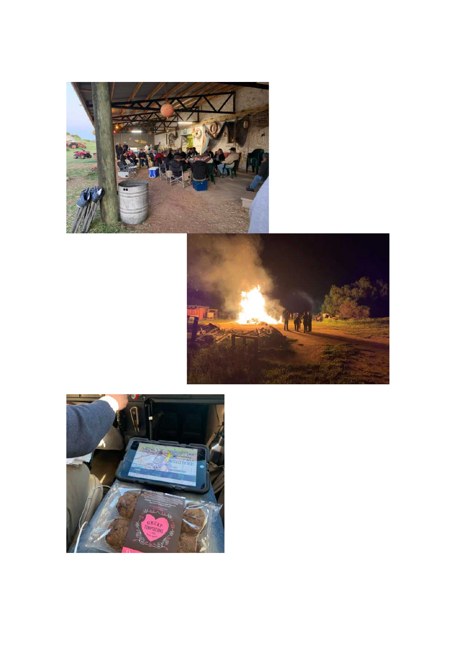



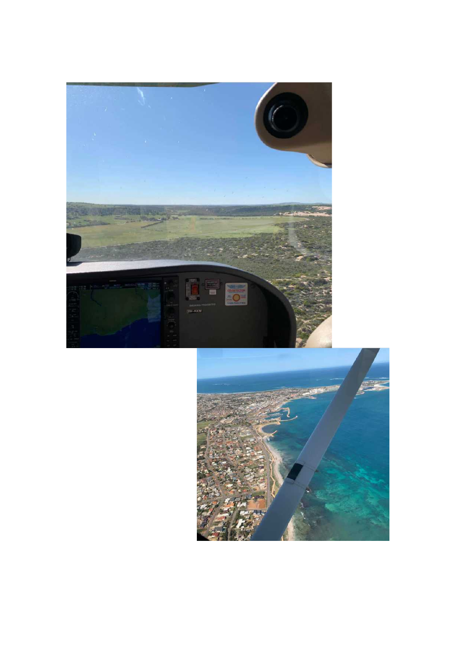

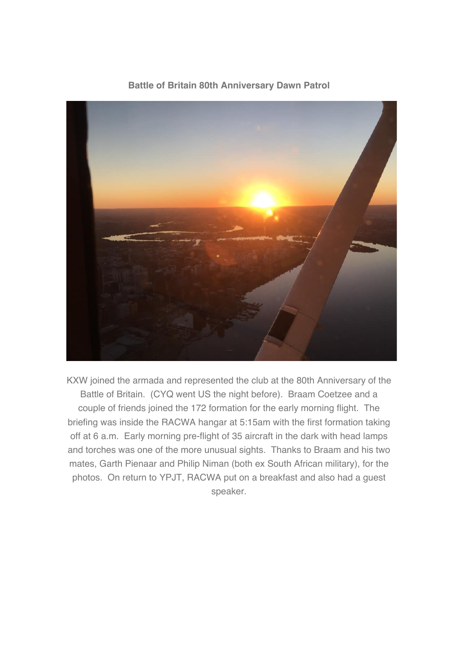

**Battle of Britain 80th Anniversary Dawn Patrol**

KXW joined the armada and represented the club at the 80th Anniversary of the Battle of Britain. (CYQ went US the night before). Braam Coetzee and a couple of friends joined the 172 formation for the early morning flight. The briefing was inside the RACWA hangar at 5:15am with the first formation taking off at 6 a.m. Early morning pre-flight of 35 aircraft in the dark with head lamps and torches was one of the more unusual sights. Thanks to Braam and his two mates, Garth Pienaar and Philip Niman (both ex South African military), for the photos. On return to YPJT, RACWA put on a breakfast and also had a guest speaker.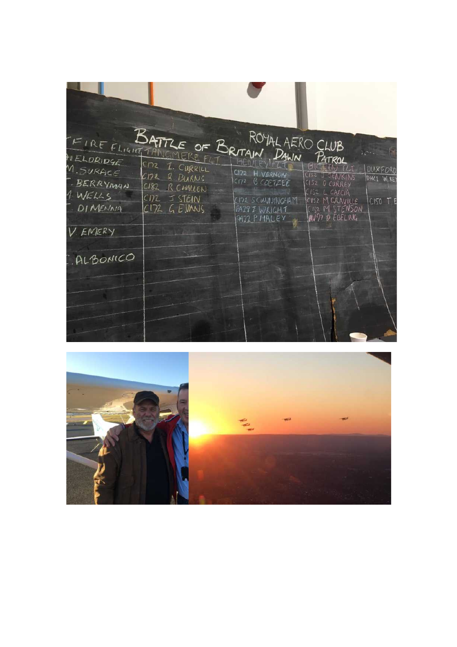|                                                                                     | FIRE FLUNTTANGMERE FLT                                       | BATTLE OF BRITAIN DAWN PATROL                                                                        |                                                                             |                                  |
|-------------------------------------------------------------------------------------|--------------------------------------------------------------|------------------------------------------------------------------------------------------------------|-----------------------------------------------------------------------------|----------------------------------|
| HELORIDGE<br>VI. SURACE<br><b>BERRYMAN</b><br>1 WELLS<br><b>DIMENNIA</b><br>V EMERY | CM2 R BURNS<br>CI82 R CHALLEN<br>CDZ ISTEIN<br>$C172G$ EUMNS | $C172$ <b>B</b> COETZEE<br>CITE S CUMMUNGHAM<br>PAZ8 I WRIGHT<br>$P$ A22 P MALEY W $AV$ 97 D EBELING | CISZ O CURREY<br>CISZ L CARCIA<br><b>CISZ M GRAVILLE</b><br>ICIS2 M STENSON | DUXFORD<br>DHC1 W. REY<br>CISOTE |
| ALBONICO                                                                            |                                                              |                                                                                                      |                                                                             |                                  |

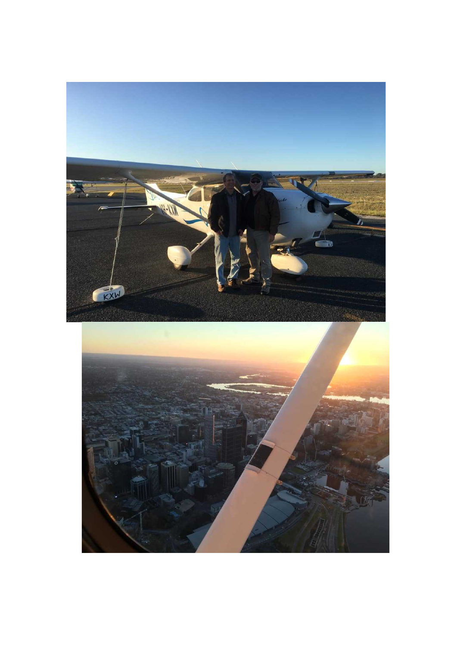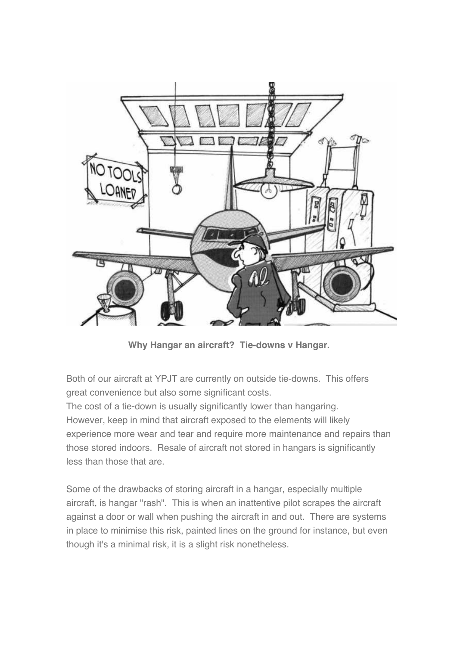

**Why Hangar an aircraft? Tie-downs v Hangar.**

Both of our aircraft at YPJT are currently on outside tie-downs. This offers great convenience but also some significant costs.

The cost of a tie-down is usually significantly lower than hangaring. However, keep in mind that aircraft exposed to the elements will likely experience more wear and tear and require more maintenance and repairs than those stored indoors. Resale of aircraft not stored in hangars is significantly less than those that are.

Some of the drawbacks of storing aircraft in a hangar, especially multiple aircraft, is hangar "rash". This is when an inattentive pilot scrapes the aircraft against a door or wall when pushing the aircraft in and out. There are systems in place to minimise this risk, painted lines on the ground for instance, but even though it's a minimal risk, it is a slight risk nonetheless.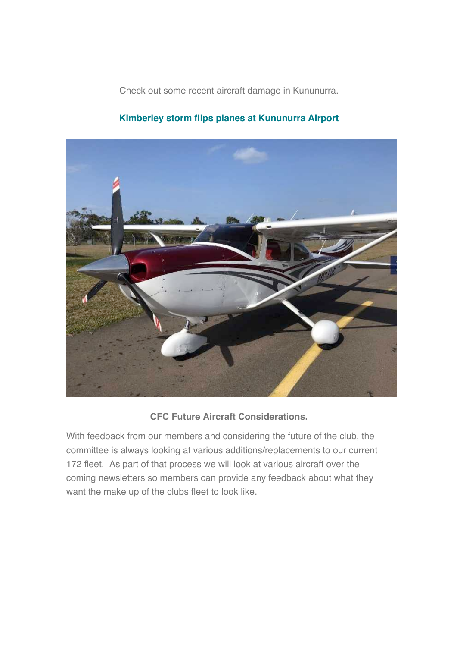Check out some recent aircraft damage in Kununurra.



## **Kimberley storm flips planes at Kununurra Airport**

### **CFC Future Aircraft Considerations.**

With feedback from our members and considering the future of the club, the committee is always looking at various additions/replacements to our current 172 fleet. As part of that process we will look at various aircraft over the coming newsletters so members can provide any feedback about what they want the make up of the clubs fleet to look like.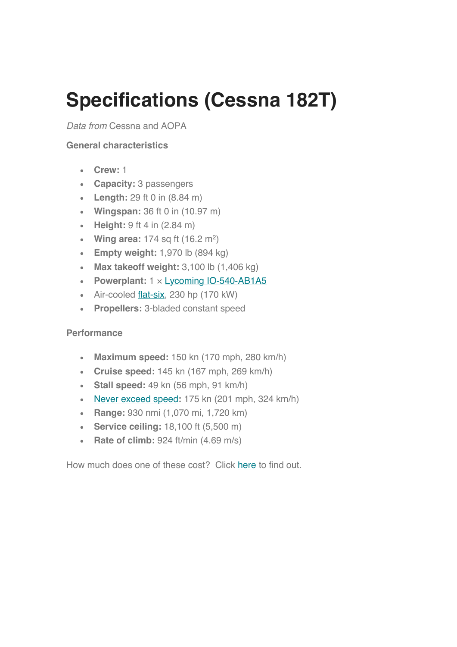# **Specifications (Cessna 182T)**

*Data from* Cessna and AOPA

#### **General characteristics**

- **Crew:** 1
- **Capacity:** 3 passengers
- **Length:** 29 ft 0 in (8.84 m)
- **Wingspan:** 36 ft 0 in (10.97 m)
- **Height:** 9 ft 4 in (2.84 m)
- **Wing area:** 174 sq ft (16.2 m2)
- **Empty weight:** 1,970 lb (894 kg)
- **Max takeoff weight:** 3,100 lb (1,406 kg)
- **Powerplant:** 1 × Lycoming IO-540-AB1A5
- Air-cooled flat-six, 230 hp (170 kW)
- **Propellers:** 3-bladed constant speed

#### **Performance**

- **Maximum speed:** 150 kn (170 mph, 280 km/h)
- **Cruise speed:** 145 kn (167 mph, 269 km/h)
- **Stall speed:** 49 kn (56 mph, 91 km/h)
- Never exceed speed**:** 175 kn (201 mph, 324 km/h)
- **Range:** 930 nmi (1,070 mi, 1,720 km)
- **Service ceiling:** 18,100 ft (5,500 m)
- **Rate of climb:** 924 ft/min (4.69 m/s)

How much does one of these cost? Click here to find out.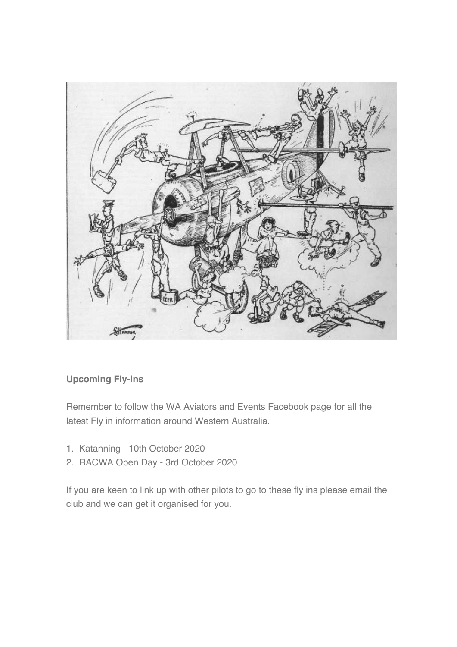

# **Upcoming Fly-ins**

Remember to follow the WA Aviators and Events Facebook page for all the latest Fly in information around Western Australia.

- 1. Katanning 10th October 2020
- 2. RACWA Open Day 3rd October 2020

If you are keen to link up with other pilots to go to these fly ins please email the club and we can get it organised for you.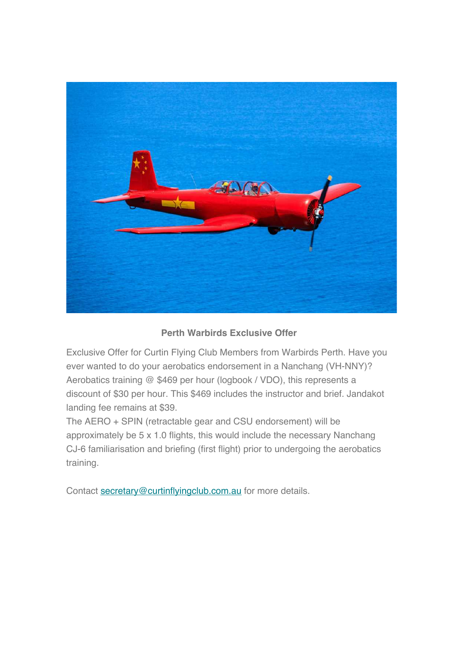

### **Perth Warbirds Exclusive Offer**

Exclusive Offer for Curtin Flying Club Members from Warbirds Perth. Have you ever wanted to do your aerobatics endorsement in a Nanchang (VH-NNY)? Aerobatics training @ \$469 per hour (logbook / VDO), this represents a discount of \$30 per hour. This \$469 includes the instructor and brief. Jandakot landing fee remains at \$39.

The AERO + SPIN (retractable gear and CSU endorsement) will be approximately be 5 x 1.0 flights, this would include the necessary Nanchang CJ-6 familiarisation and briefing (first flight) prior to undergoing the aerobatics training.

Contact secretary@curtinflyingclub.com.au for more details.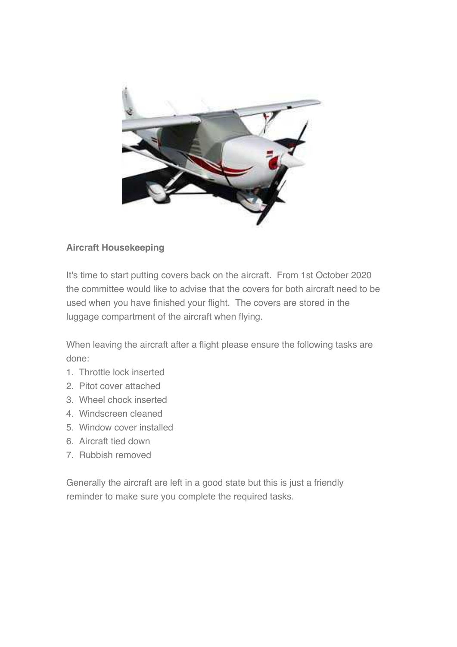

#### **Aircraft Housekeeping**

It's time to start putting covers back on the aircraft. From 1st October 2020 the committee would like to advise that the covers for both aircraft need to be used when you have finished your flight. The covers are stored in the luggage compartment of the aircraft when flying.

When leaving the aircraft after a flight please ensure the following tasks are done:

- 1. Throttle lock inserted
- 2. Pitot cover attached
- 3. Wheel chock inserted
- 4. Windscreen cleaned
- 5. Window cover installed
- 6. Aircraft tied down
- 7. Rubbish removed

Generally the aircraft are left in a good state but this is just a friendly reminder to make sure you complete the required tasks.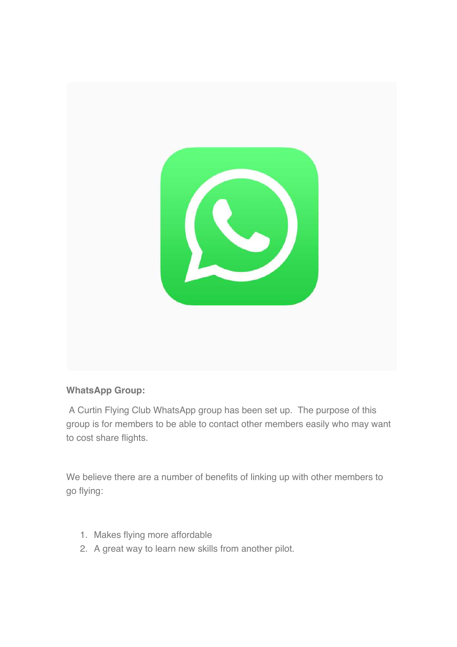

#### **WhatsApp Group:**

A Curtin Flying Club WhatsApp group has been set up. The purpose of this group is for members to be able to contact other members easily who may want to cost share flights.

We believe there are a number of benefits of linking up with other members to go flying:

- 1. Makes flying more affordable
- 2. A great way to learn new skills from another pilot.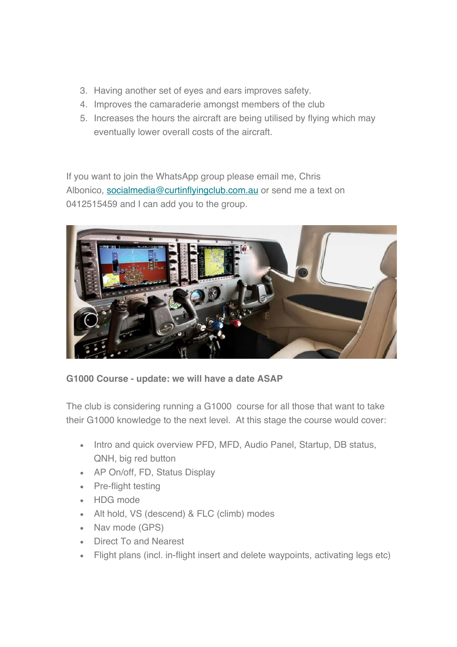- 3. Having another set of eyes and ears improves safety.
- 4. Improves the camaraderie amongst members of the club
- 5. Increases the hours the aircraft are being utilised by flying which may eventually lower overall costs of the aircraft.

If you want to join the WhatsApp group please email me, Chris Albonico, socialmedia@curtinflyingclub.com.au or send me a text on 0412515459 and I can add you to the group.



**G1000 Course - update: we will have a date ASAP**

The club is considering running a G1000 course for all those that want to take their G1000 knowledge to the next level. At this stage the course would cover:

- Intro and quick overview PFD, MFD, Audio Panel, Startup, DB status, QNH, big red button
- AP On/off, FD, Status Display
- Pre-flight testing
- HDG mode
- Alt hold, VS (descend) & FLC (climb) modes
- Nav mode (GPS)
- Direct To and Nearest
- Flight plans (incl. in-flight insert and delete waypoints, activating legs etc)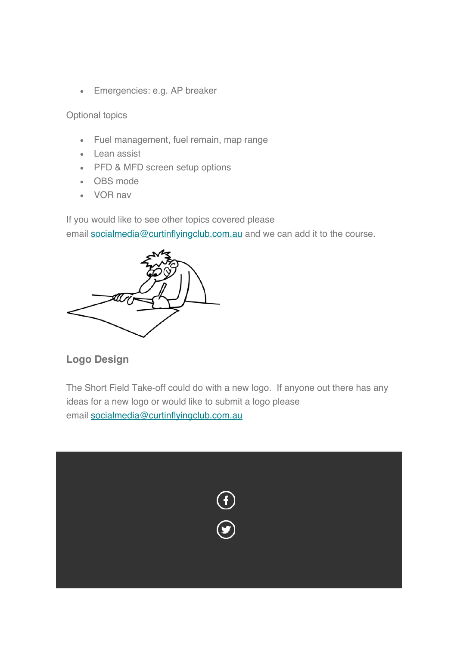• Emergencies: e.g. AP breaker

Optional topics

- Fuel management, fuel remain, map range
- Lean assist
- PFD & MFD screen setup options
- OBS mode
- VOR nav

If you would like to see other topics covered please email socialmedia@curtinflyingclub.com.au and we can add it to the course.



# **Logo Design**

The Short Field Take-off could do with a new logo. If anyone out there has any ideas for a new logo or would like to submit a logo please email socialmedia@curtinflyingclub.com.au